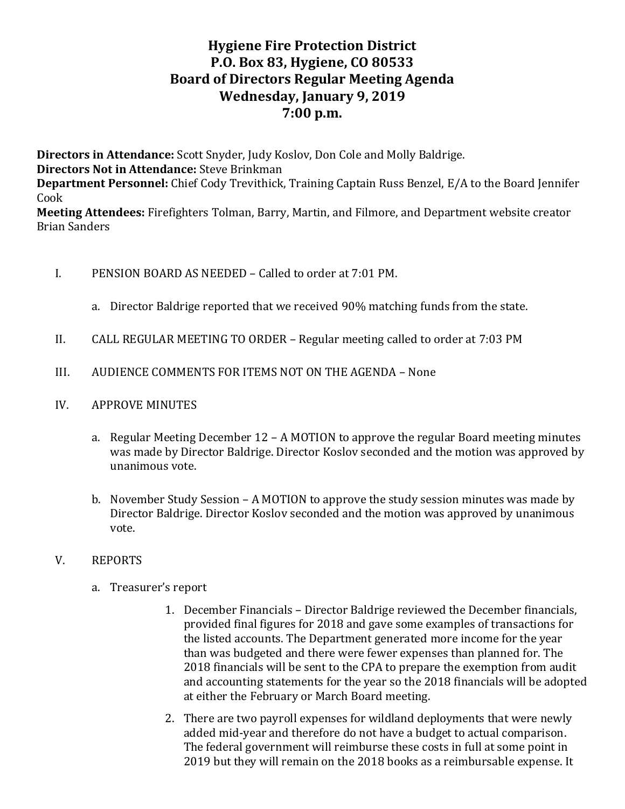# **Hygiene Fire Protection District P.O. Box 83, Hygiene, CO 80533 Board of Directors Regular Meeting Agenda Wednesday, January 9, 2019 7:00 p.m.**

**Directors in Attendance:** Scott Snyder, Judy Koslov, Don Cole and Molly Baldrige. **Directors Not in Attendance:** Steve Brinkman **Department Personnel:** Chief Cody Trevithick, Training Captain Russ Benzel, E/A to the Board Jennifer Cook

**Meeting Attendees:** Firefighters Tolman, Barry, Martin, and Filmore, and Department website creator Brian Sanders

- I. PENSION BOARD AS NEEDED Called to order at 7:01 PM.
	- a. Director Baldrige reported that we received 90% matching funds from the state.
- II. CALL REGULAR MEETING TO ORDER Regular meeting called to order at 7:03 PM
- III. AUDIENCE COMMENTS FOR ITEMS NOT ON THE AGENDA None
- IV. APPROVE MINUTES
	- a. Regular Meeting December 12 A MOTION to approve the regular Board meeting minutes was made by Director Baldrige. Director Koslov seconded and the motion was approved by unanimous vote.
	- b. November Study Session A MOTION to approve the study session minutes was made by Director Baldrige. Director Koslov seconded and the motion was approved by unanimous vote.

#### V. REPORTS

- a. Treasurer's report
	- 1. December Financials Director Baldrige reviewed the December financials, provided final figures for 2018 and gave some examples of transactions for the listed accounts. The Department generated more income for the year than was budgeted and there were fewer expenses than planned for. The 2018 financials will be sent to the CPA to prepare the exemption from audit and accounting statements for the year so the 2018 financials will be adopted at either the February or March Board meeting.
	- 2. There are two payroll expenses for wildland deployments that were newly added mid-year and therefore do not have a budget to actual comparison. The federal government will reimburse these costs in full at some point in 2019 but they will remain on the 2018 books as a reimbursable expense. It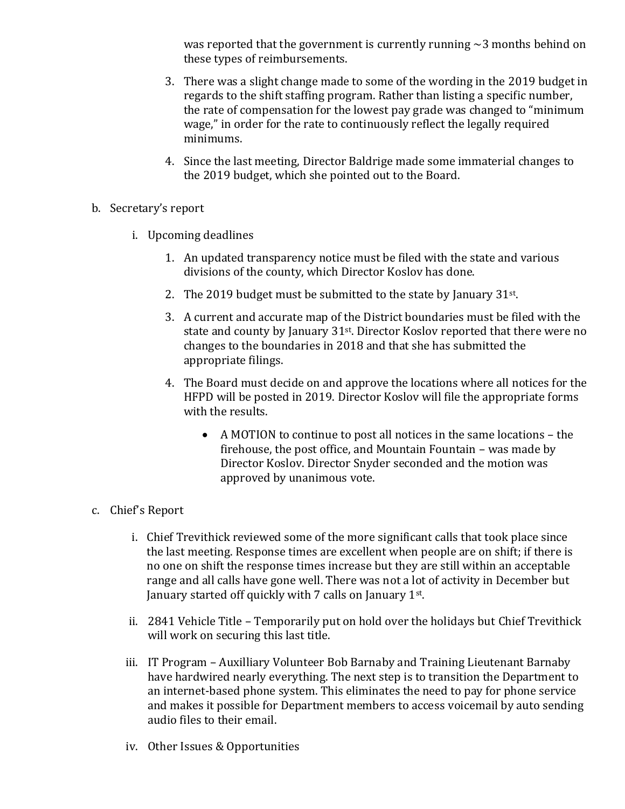was reported that the government is currently running  $\sim$ 3 months behind on these types of reimbursements.

- 3. There was a slight change made to some of the wording in the 2019 budget in regards to the shift staffing program. Rather than listing a specific number, the rate of compensation for the lowest pay grade was changed to "minimum wage," in order for the rate to continuously reflect the legally required minimums.
- 4. Since the last meeting, Director Baldrige made some immaterial changes to the 2019 budget, which she pointed out to the Board.
- b. Secretary's report
	- i. Upcoming deadlines
		- 1. An updated transparency notice must be filed with the state and various divisions of the county, which Director Koslov has done.
		- 2. The 2019 budget must be submitted to the state by January  $31^{st}$ .
		- 3. A current and accurate map of the District boundaries must be filed with the state and county by January 31st. Director Koslov reported that there were no changes to the boundaries in 2018 and that she has submitted the appropriate filings.
		- 4. The Board must decide on and approve the locations where all notices for the HFPD will be posted in 2019. Director Koslov will file the appropriate forms with the results.
			- A MOTION to continue to post all notices in the same locations the firehouse, the post office, and Mountain Fountain – was made by Director Koslov. Director Snyder seconded and the motion was approved by unanimous vote.
- c. Chief's Report
	- i. Chief Trevithick reviewed some of the more significant calls that took place since the last meeting. Response times are excellent when people are on shift; if there is no one on shift the response times increase but they are still within an acceptable range and all calls have gone well. There was not a lot of activity in December but January started off quickly with 7 calls on January 1st.
	- ii. 2841 Vehicle Title Temporarily put on hold over the holidays but Chief Trevithick will work on securing this last title.
	- iii. IT Program Auxilliary Volunteer Bob Barnaby and Training Lieutenant Barnaby have hardwired nearly everything. The next step is to transition the Department to an internet-based phone system. This eliminates the need to pay for phone service and makes it possible for Department members to access voicemail by auto sending audio files to their email.
	- iv. Other Issues & Opportunities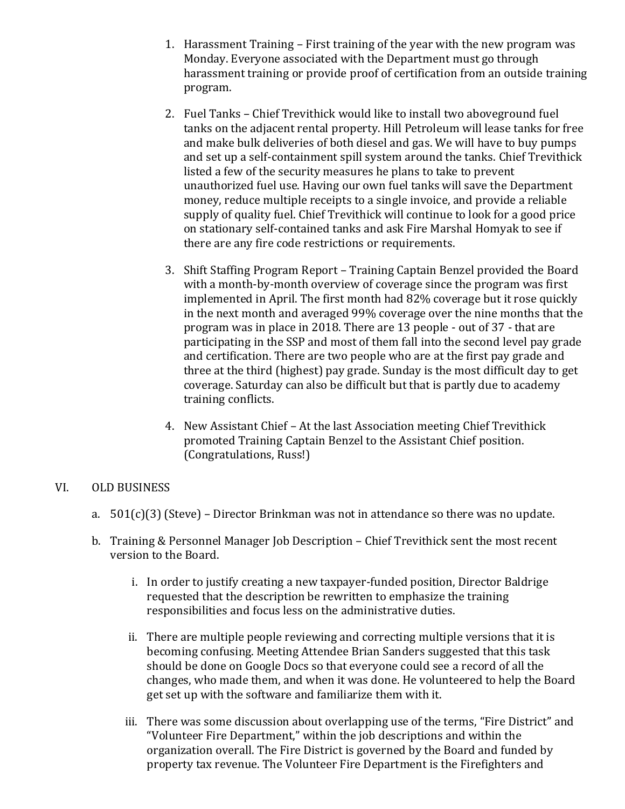- 1. Harassment Training First training of the year with the new program was Monday. Everyone associated with the Department must go through harassment training or provide proof of certification from an outside training program.
- 2. Fuel Tanks Chief Trevithick would like to install two aboveground fuel tanks on the adjacent rental property. Hill Petroleum will lease tanks for free and make bulk deliveries of both diesel and gas. We will have to buy pumps and set up a self-containment spill system around the tanks. Chief Trevithick listed a few of the security measures he plans to take to prevent unauthorized fuel use. Having our own fuel tanks will save the Department money, reduce multiple receipts to a single invoice, and provide a reliable supply of quality fuel. Chief Trevithick will continue to look for a good price on stationary self-contained tanks and ask Fire Marshal Homyak to see if there are any fire code restrictions or requirements.
- 3. Shift Staffing Program Report Training Captain Benzel provided the Board with a month-by-month overview of coverage since the program was first implemented in April. The first month had 82% coverage but it rose quickly in the next month and averaged 99% coverage over the nine months that the program was in place in 2018. There are 13 people - out of 37 - that are participating in the SSP and most of them fall into the second level pay grade and certification. There are two people who are at the first pay grade and three at the third (highest) pay grade. Sunday is the most difficult day to get coverage. Saturday can also be difficult but that is partly due to academy training conflicts.
- 4. New Assistant Chief At the last Association meeting Chief Trevithick promoted Training Captain Benzel to the Assistant Chief position. (Congratulations, Russ!)

#### VI. OLD BUSINESS

- a.  $501(c)(3)$  (Steve) Director Brinkman was not in attendance so there was no update.
- b. Training & Personnel Manager Job Description Chief Trevithick sent the most recent version to the Board.
	- i. In order to justify creating a new taxpayer-funded position, Director Baldrige requested that the description be rewritten to emphasize the training responsibilities and focus less on the administrative duties.
	- ii. There are multiple people reviewing and correcting multiple versions that it is becoming confusing. Meeting Attendee Brian Sanders suggested that this task should be done on Google Docs so that everyone could see a record of all the changes, who made them, and when it was done. He volunteered to help the Board get set up with the software and familiarize them with it.
	- iii. There was some discussion about overlapping use of the terms, "Fire District" and "Volunteer Fire Department," within the job descriptions and within the organization overall. The Fire District is governed by the Board and funded by property tax revenue. The Volunteer Fire Department is the Firefighters and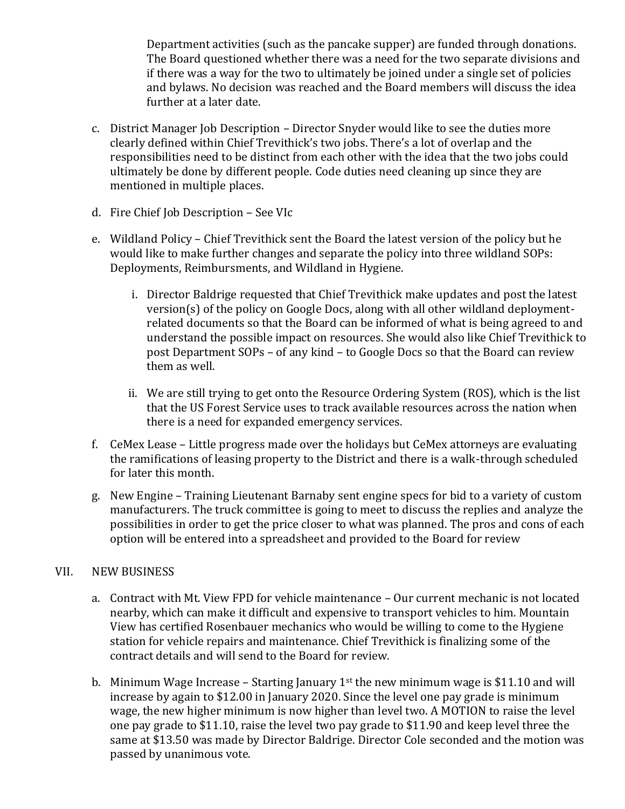Department activities (such as the pancake supper) are funded through donations. The Board questioned whether there was a need for the two separate divisions and if there was a way for the two to ultimately be joined under a single set of policies and bylaws. No decision was reached and the Board members will discuss the idea further at a later date.

- c. District Manager Job Description Director Snyder would like to see the duties more clearly defined within Chief Trevithick's two jobs. There's a lot of overlap and the responsibilities need to be distinct from each other with the idea that the two jobs could ultimately be done by different people. Code duties need cleaning up since they are mentioned in multiple places.
- d. Fire Chief Job Description See VIc
- e. Wildland Policy Chief Trevithick sent the Board the latest version of the policy but he would like to make further changes and separate the policy into three wildland SOPs: Deployments, Reimbursments, and Wildland in Hygiene.
	- i. Director Baldrige requested that Chief Trevithick make updates and post the latest version(s) of the policy on Google Docs, along with all other wildland deploymentrelated documents so that the Board can be informed of what is being agreed to and understand the possible impact on resources. She would also like Chief Trevithick to post Department SOPs – of any kind – to Google Docs so that the Board can review them as well.
	- ii. We are still trying to get onto the Resource Ordering System (ROS), which is the list that the US Forest Service uses to track available resources across the nation when there is a need for expanded emergency services.
- f. CeMex Lease Little progress made over the holidays but CeMex attorneys are evaluating the ramifications of leasing property to the District and there is a walk-through scheduled for later this month.
- g. New Engine Training Lieutenant Barnaby sent engine specs for bid to a variety of custom manufacturers. The truck committee is going to meet to discuss the replies and analyze the possibilities in order to get the price closer to what was planned. The pros and cons of each option will be entered into a spreadsheet and provided to the Board for review

### VII. NEW BUSINESS

- a. Contract with Mt. View FPD for vehicle maintenance Our current mechanic is not located nearby, which can make it difficult and expensive to transport vehicles to him. Mountain View has certified Rosenbauer mechanics who would be willing to come to the Hygiene station for vehicle repairs and maintenance. Chief Trevithick is finalizing some of the contract details and will send to the Board for review.
- b. Minimum Wage Increase Starting January  $1<sup>st</sup>$  the new minimum wage is \$11.10 and will increase by again to \$12.00 in January 2020. Since the level one pay grade is minimum wage, the new higher minimum is now higher than level two. A MOTION to raise the level one pay grade to \$11.10, raise the level two pay grade to \$11.90 and keep level three the same at \$13.50 was made by Director Baldrige. Director Cole seconded and the motion was passed by unanimous vote.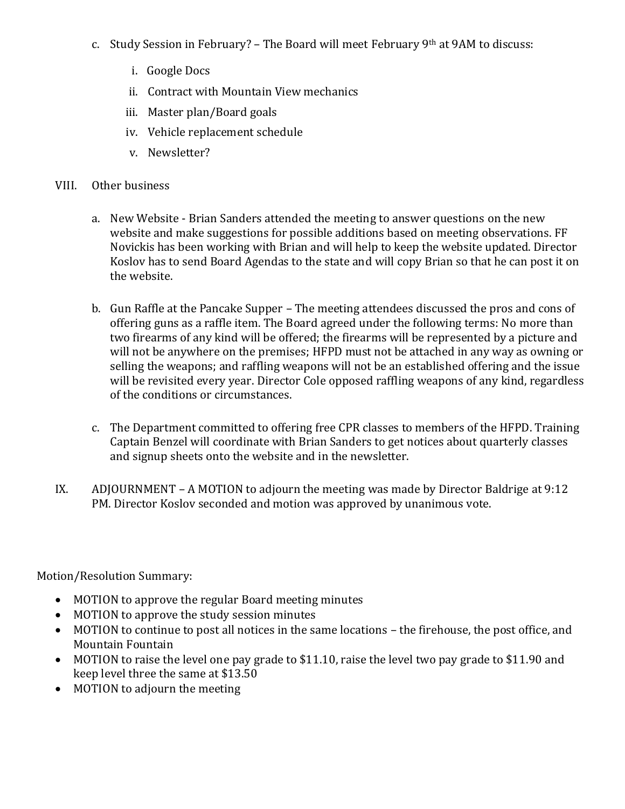- c. Study Session in February? The Board will meet February 9th at 9AM to discuss:
	- i. Google Docs
	- ii. Contract with Mountain View mechanics
	- iii. Master plan/Board goals
	- iv. Vehicle replacement schedule
	- v. Newsletter?
- VIII. Other business
	- a. New Website Brian Sanders attended the meeting to answer questions on the new website and make suggestions for possible additions based on meeting observations. FF Novickis has been working with Brian and will help to keep the website updated. Director Koslov has to send Board Agendas to the state and will copy Brian so that he can post it on the website.
	- b. Gun Raffle at the Pancake Supper The meeting attendees discussed the pros and cons of offering guns as a raffle item. The Board agreed under the following terms: No more than two firearms of any kind will be offered; the firearms will be represented by a picture and will not be anywhere on the premises; HFPD must not be attached in any way as owning or selling the weapons; and raffling weapons will not be an established offering and the issue will be revisited every year. Director Cole opposed raffling weapons of any kind, regardless of the conditions or circumstances.
	- c. The Department committed to offering free CPR classes to members of the HFPD. Training Captain Benzel will coordinate with Brian Sanders to get notices about quarterly classes and signup sheets onto the website and in the newsletter.
- IX. ADJOURNMENT A MOTION to adjourn the meeting was made by Director Baldrige at 9:12 PM. Director Koslov seconded and motion was approved by unanimous vote.

Motion/Resolution Summary:

- MOTION to approve the regular Board meeting minutes
- MOTION to approve the study session minutes
- MOTION to continue to post all notices in the same locations the firehouse, the post office, and Mountain Fountain
- MOTION to raise the level one pay grade to \$11.10, raise the level two pay grade to \$11.90 and keep level three the same at \$13.50
- MOTION to adjourn the meeting